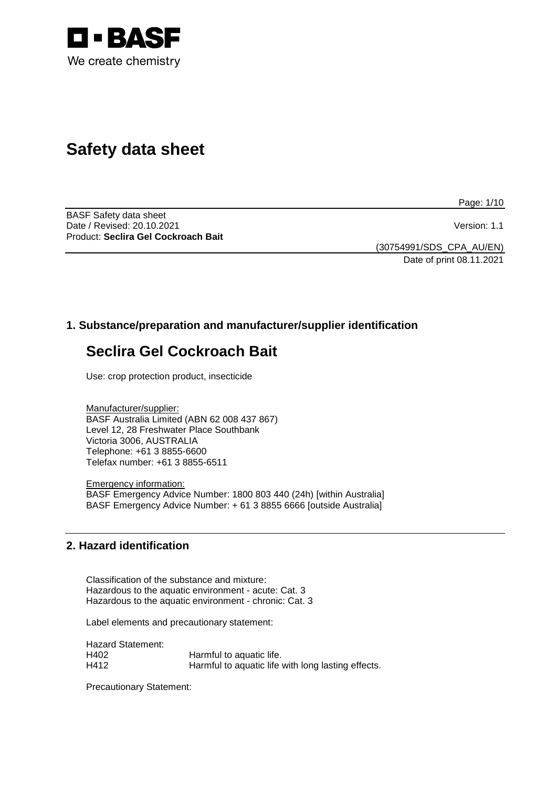

# **Safety data sheet**

Page: 1/10

BASF Safety data sheet Date / Revised: 20.10.2021 **Version: 1.1** Product: **Seclira Gel Cockroach Bait**

(30754991/SDS\_CPA\_AU/EN) Date of print 08.11.2021

# **1. Substance/preparation and manufacturer/supplier identification**

# **Seclira Gel Cockroach Bait**

Use: crop protection product, insecticide

Manufacturer/supplier: BASF Australia Limited (ABN 62 008 437 867) Level 12, 28 Freshwater Place Southbank Victoria 3006, AUSTRALIA Telephone: +61 3 8855-6600 Telefax number: +61 3 8855-6511

Emergency information: BASF Emergency Advice Number: 1800 803 440 (24h) [within Australia] BASF Emergency Advice Number: + 61 3 8855 6666 [outside Australia]

## **2. Hazard identification**

Classification of the substance and mixture: Hazardous to the aquatic environment - acute: Cat. 3 Hazardous to the aquatic environment - chronic: Cat. 3

Label elements and precautionary statement:

Hazard Statement:<br>H402 H402 **Harmful to aquatic life.**<br>H412 **Harmful to aquatic life** Harmful to aquatic life with long lasting effects.

Precautionary Statement: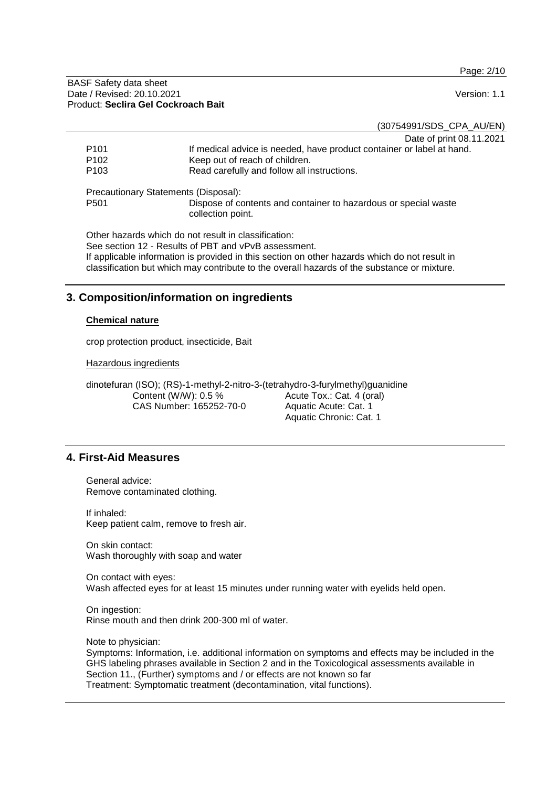Page: 2/10

BASF Safety data sheet Date / Revised: 20.10.2021 **Version: 1.1** Product: **Seclira Gel Cockroach Bait**

(30754991/SDS\_CPA\_AU/EN)

Date of print 08.11.2021

|                  | <b>Pato of Pillit ooi I</b>                                                          |
|------------------|--------------------------------------------------------------------------------------|
| P <sub>101</sub> | If medical advice is needed, have product container or label at hand.                |
| P <sub>102</sub> | Keep out of reach of children.                                                       |
| P <sub>103</sub> | Read carefully and follow all instructions.                                          |
|                  | Precautionary Statements (Disposal):                                                 |
| P <sub>501</sub> | Dispose of contents and container to hazardous or special waste<br>collection point. |
|                  | Other her real cold the demand and the short flood for the                           |

Other hazards which do not result in classification: See section 12 - Results of PBT and vPvB assessment. If applicable information is provided in this section on other hazards which do not result in classification but which may contribute to the overall hazards of the substance or mixture.

## **3. Composition/information on ingredients**

#### **Chemical nature**

crop protection product, insecticide, Bait

Hazardous ingredients

dinotefuran (ISO); (RS)-1-methyl-2-nitro-3-(tetrahydro-3-furylmethyl)guanidine Content (W/W): 0.5 % CAS Number: 165252-70-0 Acute Tox.: Cat. 4 (oral) Aquatic Acute: Cat. 1 Aquatic Chronic: Cat. 1

## **4. First-Aid Measures**

General advice: Remove contaminated clothing.

If inhaled: Keep patient calm, remove to fresh air.

On skin contact: Wash thoroughly with soap and water

On contact with eyes: Wash affected eyes for at least 15 minutes under running water with eyelids held open.

On ingestion: Rinse mouth and then drink 200-300 ml of water.

Note to physician: Symptoms: Information, i.e. additional information on symptoms and effects may be included in the GHS labeling phrases available in Section 2 and in the Toxicological assessments available in Section 11., (Further) symptoms and / or effects are not known so far Treatment: Symptomatic treatment (decontamination, vital functions).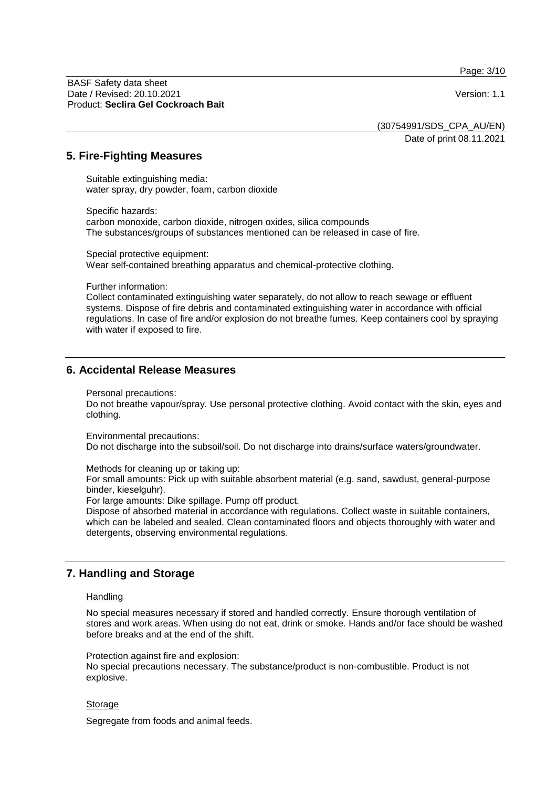Page: 3/10

BASF Safety data sheet Date / Revised: 20.10.2021 **Version: 1.1** Product: **Seclira Gel Cockroach Bait**

(30754991/SDS\_CPA\_AU/EN)

Date of print 08.11.2021

## **5. Fire-Fighting Measures**

Suitable extinguishing media: water spray, dry powder, foam, carbon dioxide

Specific hazards: carbon monoxide, carbon dioxide, nitrogen oxides, silica compounds The substances/groups of substances mentioned can be released in case of fire.

Special protective equipment: Wear self-contained breathing apparatus and chemical-protective clothing.

Further information:

Collect contaminated extinguishing water separately, do not allow to reach sewage or effluent systems. Dispose of fire debris and contaminated extinguishing water in accordance with official regulations. In case of fire and/or explosion do not breathe fumes. Keep containers cool by spraying with water if exposed to fire.

## **6. Accidental Release Measures**

Personal precautions:

Do not breathe vapour/spray. Use personal protective clothing. Avoid contact with the skin, eyes and clothing.

Environmental precautions:

Do not discharge into the subsoil/soil. Do not discharge into drains/surface waters/groundwater.

Methods for cleaning up or taking up:

For small amounts: Pick up with suitable absorbent material (e.g. sand, sawdust, general-purpose binder, kieselguhr).

For large amounts: Dike spillage. Pump off product.

Dispose of absorbed material in accordance with regulations. Collect waste in suitable containers, which can be labeled and sealed. Clean contaminated floors and objects thoroughly with water and detergents, observing environmental regulations.

# **7. Handling and Storage**

#### **Handling**

No special measures necessary if stored and handled correctly. Ensure thorough ventilation of stores and work areas. When using do not eat, drink or smoke. Hands and/or face should be washed before breaks and at the end of the shift.

Protection against fire and explosion:

No special precautions necessary. The substance/product is non-combustible. Product is not explosive.

#### Storage

Segregate from foods and animal feeds.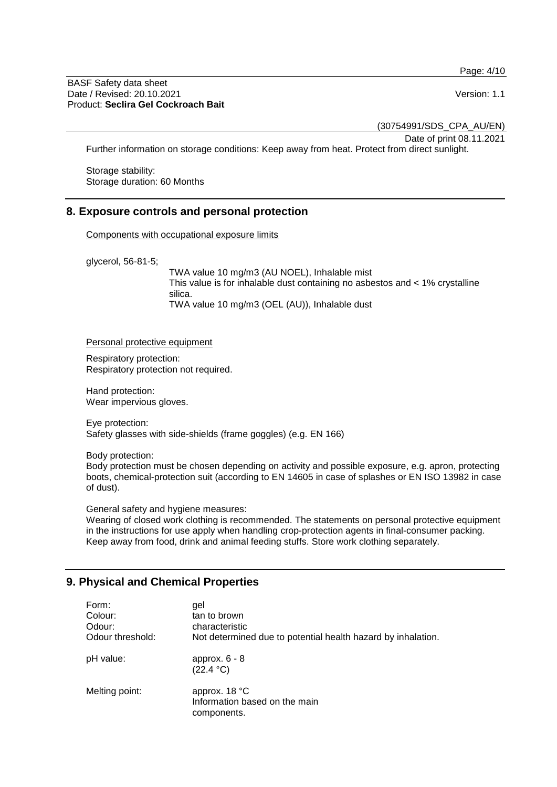Page: 4/10

#### BASF Safety data sheet Date / Revised: 20.10.2021 **Version: 1.1** Product: **Seclira Gel Cockroach Bait**

(30754991/SDS\_CPA\_AU/EN)

Date of print 08.11.2021

Further information on storage conditions: Keep away from heat. Protect from direct sunlight.

Storage stability: Storage duration: 60 Months

## **8. Exposure controls and personal protection**

Components with occupational exposure limits

glycerol, 56-81-5;

TWA value 10 mg/m3 (AU NOEL), Inhalable mist This value is for inhalable dust containing no asbestos and < 1% crystalline silica. TWA value 10 mg/m3 (OEL (AU)), Inhalable dust

Personal protective equipment

Respiratory protection: Respiratory protection not required.

Hand protection: Wear impervious gloves.

Eye protection: Safety glasses with side-shields (frame goggles) (e.g. EN 166)

Body protection:

Body protection must be chosen depending on activity and possible exposure, e.g. apron, protecting boots, chemical-protection suit (according to EN 14605 in case of splashes or EN ISO 13982 in case of dust).

General safety and hygiene measures:

Wearing of closed work clothing is recommended. The statements on personal protective equipment in the instructions for use apply when handling crop-protection agents in final-consumer packing. Keep away from food, drink and animal feeding stuffs. Store work clothing separately.

# **9. Physical and Chemical Properties**

| Form:<br>Colour:<br>Odour:<br>Odour threshold: | qel<br>tan to brown<br>characteristic<br>Not determined due to potential health hazard by inhalation. |
|------------------------------------------------|-------------------------------------------------------------------------------------------------------|
| pH value:                                      | approx. $6 - 8$<br>(22.4 °C)                                                                          |
| Melting point:                                 | approx. 18 °C<br>Information based on the main<br>components.                                         |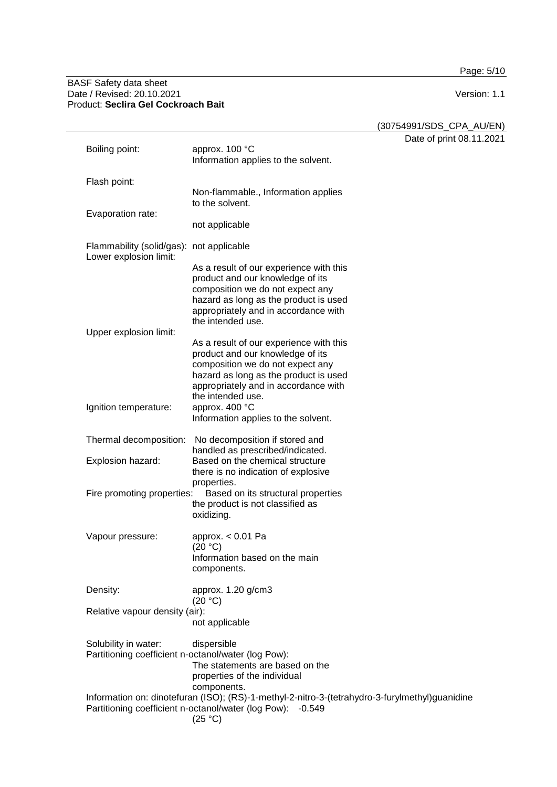Page: 5/10

#### BASF Safety data sheet Date / Revised: 20.10.2021 Version: 1.1 Product: **Seclira Gel Cockroach Bait**

(30754991/SDS\_CPA\_AU/EN)

 $\overline{8.11.2021}$ 

|                                                                             |                                                                                                                                                                                                                       | Date of print 08. |
|-----------------------------------------------------------------------------|-----------------------------------------------------------------------------------------------------------------------------------------------------------------------------------------------------------------------|-------------------|
| Boiling point:                                                              | approx. 100 °C<br>Information applies to the solvent.                                                                                                                                                                 |                   |
| Flash point:                                                                |                                                                                                                                                                                                                       |                   |
|                                                                             | Non-flammable., Information applies<br>to the solvent.                                                                                                                                                                |                   |
| Evaporation rate:                                                           | not applicable                                                                                                                                                                                                        |                   |
| Flammability (solid/gas): not applicable<br>Lower explosion limit:          |                                                                                                                                                                                                                       |                   |
|                                                                             | As a result of our experience with this<br>product and our knowledge of its<br>composition we do not expect any<br>hazard as long as the product is used<br>appropriately and in accordance with<br>the intended use. |                   |
| Upper explosion limit:                                                      |                                                                                                                                                                                                                       |                   |
|                                                                             | As a result of our experience with this<br>product and our knowledge of its<br>composition we do not expect any<br>hazard as long as the product is used<br>appropriately and in accordance with<br>the intended use. |                   |
| Ignition temperature:                                                       | approx. 400 °C<br>Information applies to the solvent.                                                                                                                                                                 |                   |
| Thermal decomposition:                                                      | No decomposition if stored and<br>handled as prescribed/indicated.                                                                                                                                                    |                   |
| Explosion hazard:                                                           | Based on the chemical structure<br>there is no indication of explosive                                                                                                                                                |                   |
| Fire promoting properties:                                                  | properties.<br>Based on its structural properties<br>the product is not classified as<br>oxidizing.                                                                                                                   |                   |
| Vapour pressure:                                                            | approx. $< 0.01$ Pa<br>(20 °C)<br>Information based on the main<br>components.                                                                                                                                        |                   |
| Density:                                                                    | approx. 1.20 g/cm3<br>(20 °C)                                                                                                                                                                                         |                   |
| Relative vapour density (air):                                              | not applicable                                                                                                                                                                                                        |                   |
| Solubility in water:<br>Partitioning coefficient n-octanol/water (log Pow): | dispersible<br>The statements are based on the<br>properties of the individual<br>components.                                                                                                                         |                   |
|                                                                             | Information on: dinotefuran (ISO); (RS)-1-methyl-2-nitro-3-(tetrahydro-3-furylmethyl)guanidine<br>Partitioning coefficient n-octanol/water (log Pow): -0.549<br>(25 °C)                                               |                   |
|                                                                             |                                                                                                                                                                                                                       |                   |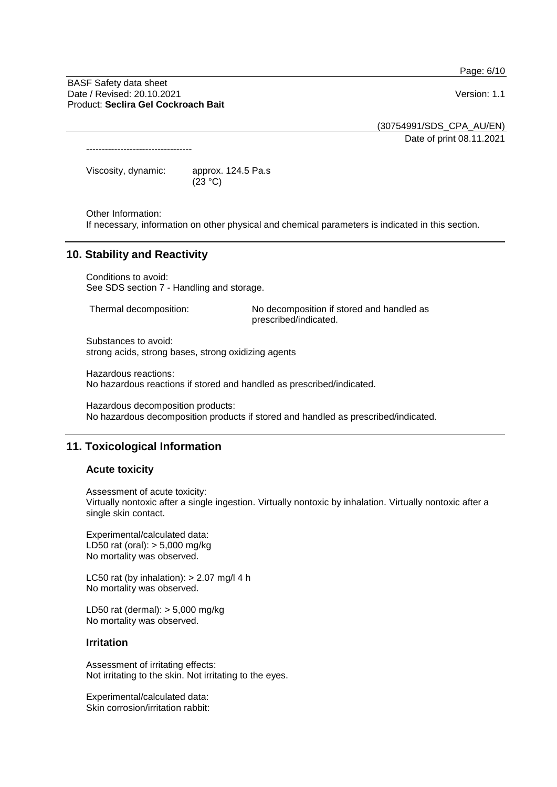Page: 6/10

BASF Safety data sheet Date / Revised: 20.10.2021 **Version: 1.1** Product: **Seclira Gel Cockroach Bait**

(30754991/SDS\_CPA\_AU/EN) Date of print 08.11.2021

----------------------------------

Viscosity, dynamic: approx. 124.5 Pa.s  $(23 °C)$ 

Other Information:

If necessary, information on other physical and chemical parameters is indicated in this section.

## **10. Stability and Reactivity**

Conditions to avoid: See SDS section 7 - Handling and storage.

Thermal decomposition: No decomposition if stored and handled as prescribed/indicated.

Substances to avoid: strong acids, strong bases, strong oxidizing agents

Hazardous reactions: No hazardous reactions if stored and handled as prescribed/indicated.

Hazardous decomposition products: No hazardous decomposition products if stored and handled as prescribed/indicated.

# **11. Toxicological Information**

#### **Acute toxicity**

Assessment of acute toxicity: Virtually nontoxic after a single ingestion. Virtually nontoxic by inhalation. Virtually nontoxic after a single skin contact.

Experimental/calculated data: LD50 rat (oral): > 5,000 mg/kg No mortality was observed.

LC50 rat (by inhalation):  $> 2.07$  mg/l 4 h No mortality was observed.

LD50 rat (dermal): > 5,000 mg/kg No mortality was observed.

#### **Irritation**

Assessment of irritating effects: Not irritating to the skin. Not irritating to the eyes.

Experimental/calculated data: Skin corrosion/irritation rabbit: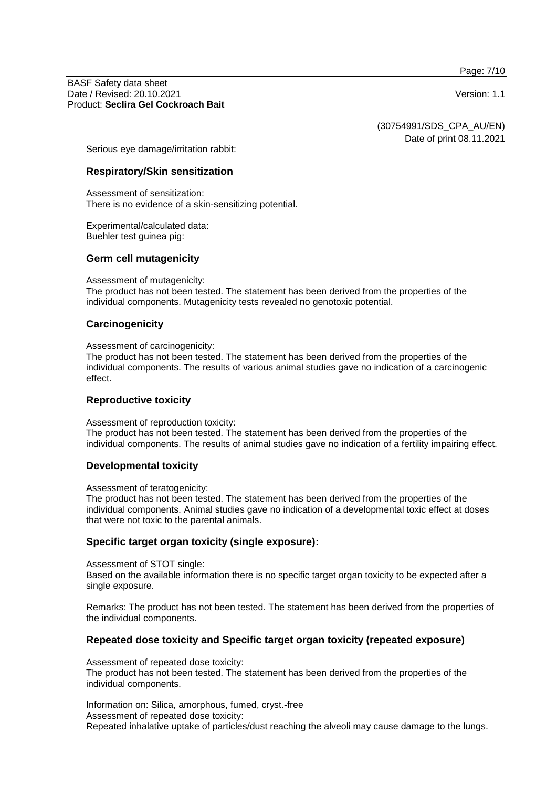Page: 7/10

BASF Safety data sheet Date / Revised: 20.10.2021 **Version: 1.1** Product: **Seclira Gel Cockroach Bait**

(30754991/SDS\_CPA\_AU/EN)

Date of print 08.11.2021

Serious eye damage/irritation rabbit:

## **Respiratory/Skin sensitization**

Assessment of sensitization: There is no evidence of a skin-sensitizing potential.

Experimental/calculated data: Buehler test guinea pig:

#### **Germ cell mutagenicity**

Assessment of mutagenicity:

The product has not been tested. The statement has been derived from the properties of the individual components. Mutagenicity tests revealed no genotoxic potential.

#### **Carcinogenicity**

Assessment of carcinogenicity:

The product has not been tested. The statement has been derived from the properties of the individual components. The results of various animal studies gave no indication of a carcinogenic effect.

#### **Reproductive toxicity**

Assessment of reproduction toxicity:

The product has not been tested. The statement has been derived from the properties of the individual components. The results of animal studies gave no indication of a fertility impairing effect.

#### **Developmental toxicity**

Assessment of teratogenicity:

The product has not been tested. The statement has been derived from the properties of the individual components. Animal studies gave no indication of a developmental toxic effect at doses that were not toxic to the parental animals.

#### **Specific target organ toxicity (single exposure):**

Assessment of STOT single:

Based on the available information there is no specific target organ toxicity to be expected after a single exposure.

Remarks: The product has not been tested. The statement has been derived from the properties of the individual components.

#### **Repeated dose toxicity and Specific target organ toxicity (repeated exposure)**

Assessment of repeated dose toxicity:

The product has not been tested. The statement has been derived from the properties of the individual components.

Information on: Silica, amorphous, fumed, cryst.-free Assessment of repeated dose toxicity: Repeated inhalative uptake of particles/dust reaching the alveoli may cause damage to the lungs.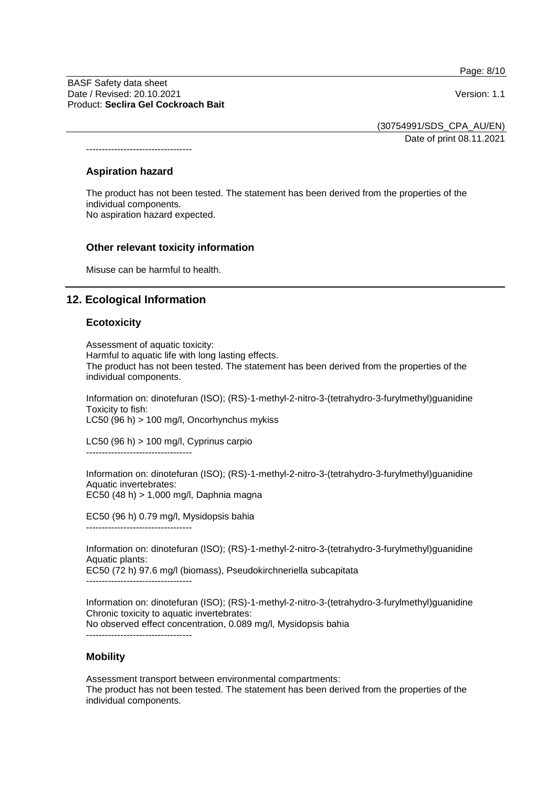Page: 8/10

BASF Safety data sheet Date / Revised: 20.10.2021 **Version: 1.1** Product: **Seclira Gel Cockroach Bait**

(30754991/SDS\_CPA\_AU/EN)

Date of print 08.11.2021

# **Aspiration hazard**

----------------------------------

The product has not been tested. The statement has been derived from the properties of the individual components. No aspiration hazard expected.

## **Other relevant toxicity information**

Misuse can be harmful to health.

## **12. Ecological Information**

#### **Ecotoxicity**

Assessment of aquatic toxicity: Harmful to aquatic life with long lasting effects. The product has not been tested. The statement has been derived from the properties of the individual components.

Information on: dinotefuran (ISO); (RS)-1-methyl-2-nitro-3-(tetrahydro-3-furylmethyl)guanidine Toxicity to fish: LC50 (96 h) > 100 mg/l, Oncorhynchus mykiss

LC50 (96 h) > 100 mg/l, Cyprinus carpio ----------------------------------

Information on: dinotefuran (ISO); (RS)-1-methyl-2-nitro-3-(tetrahydro-3-furylmethyl)guanidine Aquatic invertebrates: EC50 (48 h) > 1,000 mg/l, Daphnia magna

EC50 (96 h) 0.79 mg/l, Mysidopsis bahia ----------------------------------

Information on: dinotefuran (ISO); (RS)-1-methyl-2-nitro-3-(tetrahydro-3-furylmethyl)guanidine Aquatic plants: EC50 (72 h) 97.6 mg/l (biomass), Pseudokirchneriella subcapitata

----------------------------------

----------------------------------

Information on: dinotefuran (ISO); (RS)-1-methyl-2-nitro-3-(tetrahydro-3-furylmethyl)guanidine Chronic toxicity to aquatic invertebrates: No observed effect concentration, 0.089 mg/l, Mysidopsis bahia

## **Mobility**

Assessment transport between environmental compartments: The product has not been tested. The statement has been derived from the properties of the individual components.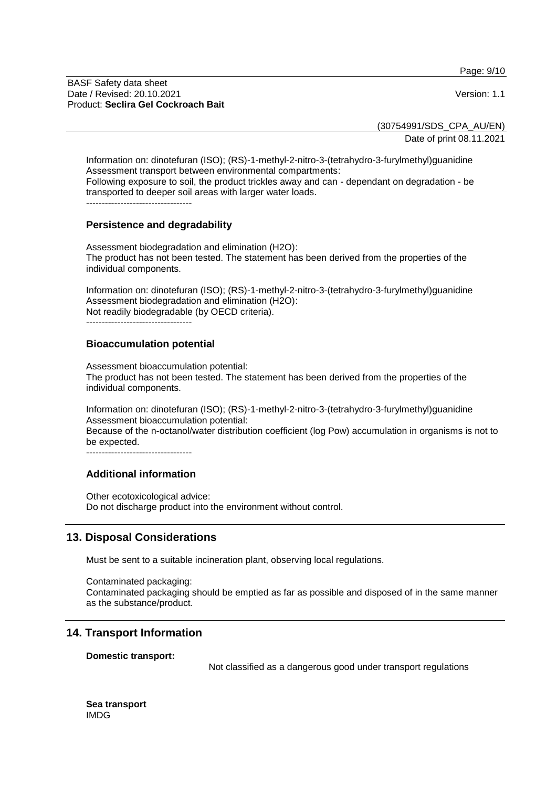Page: 9/10

BASF Safety data sheet Date / Revised: 20.10.2021 **Version: 1.1** Product: **Seclira Gel Cockroach Bait**

(30754991/SDS\_CPA\_AU/EN)

Date of print 08.11.2021

Information on: dinotefuran (ISO); (RS)-1-methyl-2-nitro-3-(tetrahydro-3-furylmethyl)guanidine Assessment transport between environmental compartments: Following exposure to soil, the product trickles away and can - dependant on degradation - be

transported to deeper soil areas with larger water loads.

----------------------------------

## **Persistence and degradability**

Assessment biodegradation and elimination (H2O): The product has not been tested. The statement has been derived from the properties of the individual components.

Information on: dinotefuran (ISO); (RS)-1-methyl-2-nitro-3-(tetrahydro-3-furylmethyl)guanidine Assessment biodegradation and elimination (H2O): Not readily biodegradable (by OECD criteria).

----------------------------------

#### **Bioaccumulation potential**

Assessment bioaccumulation potential: The product has not been tested. The statement has been derived from the properties of the individual components.

Information on: dinotefuran (ISO); (RS)-1-methyl-2-nitro-3-(tetrahydro-3-furylmethyl)guanidine Assessment bioaccumulation potential:

Because of the n-octanol/water distribution coefficient (log Pow) accumulation in organisms is not to be expected.

----------------------------------

#### **Additional information**

Other ecotoxicological advice: Do not discharge product into the environment without control.

# **13. Disposal Considerations**

Must be sent to a suitable incineration plant, observing local regulations.

Contaminated packaging: Contaminated packaging should be emptied as far as possible and disposed of in the same manner as the substance/product.

## **14. Transport Information**

**Domestic transport:**

Not classified as a dangerous good under transport regulations

**Sea transport** IMDG